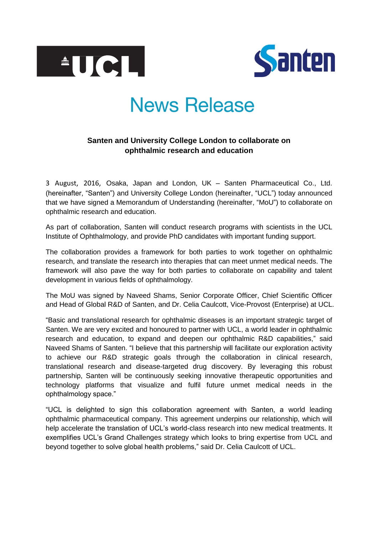



# **News Release**

## **Santen and University College London to collaborate on ophthalmic research and education**

3 August, 2016, Osaka, Japan and London, UK – Santen Pharmaceutical Co., Ltd. (hereinafter, "Santen") and University College London (hereinafter, "UCL") today announced that we have signed a Memorandum of Understanding (hereinafter, "MoU") to collaborate on ophthalmic research and education.

As part of collaboration, Santen will conduct research programs with scientists in the UCL Institute of Ophthalmology, and provide PhD candidates with important funding support.

The collaboration provides a framework for both parties to work together on ophthalmic research, and translate the research into therapies that can meet unmet medical needs. The framework will also pave the way for both parties to collaborate on capability and talent development in various fields of ophthalmology.

The MoU was signed by Naveed Shams, Senior Corporate Officer, Chief Scientific Officer and Head of Global R&D of Santen, and Dr. Celia Caulcott, Vice-Provost (Enterprise) at UCL.

"Basic and translational research for ophthalmic diseases is an important strategic target of Santen. We are very excited and honoured to partner with UCL, a world leader in ophthalmic research and education, to expand and deepen our ophthalmic R&D capabilities," said Naveed Shams of Santen. "I believe that this partnership will facilitate our exploration activity to achieve our R&D strategic goals through the collaboration in clinical research, translational research and disease-targeted drug discovery. By leveraging this robust partnership, Santen will be continuously seeking innovative therapeutic opportunities and technology platforms that visualize and fulfil future unmet medical needs in the ophthalmology space."

"UCL is delighted to sign this collaboration agreement with Santen, a world leading ophthalmic pharmaceutical company. This agreement underpins our relationship, which will help accelerate the translation of UCL's world-class research into new medical treatments. It exemplifies UCL's Grand Challenges strategy which looks to bring expertise from UCL and beyond together to solve global health problems," said Dr. Celia Caulcott of UCL.